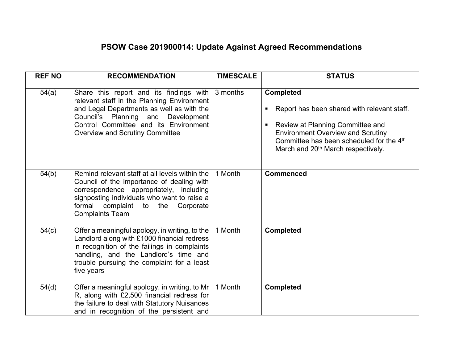## **PSOW Case 201900014: Update Against Agreed Recommendations**

| <b>REF NO</b> | <b>RECOMMENDATION</b>                                                                                                                                                                                                                                                            | <b>TIMESCALE</b> | <b>STATUS</b>                                                                                                                                                                                                                                                   |
|---------------|----------------------------------------------------------------------------------------------------------------------------------------------------------------------------------------------------------------------------------------------------------------------------------|------------------|-----------------------------------------------------------------------------------------------------------------------------------------------------------------------------------------------------------------------------------------------------------------|
| 54(a)         | Share this report and its findings with $\frac{1}{3}$ months<br>relevant staff in the Planning Environment<br>and Legal Departments as well as with the<br>Council's Planning and Development<br>Control Committee and its Environment<br><b>Overview and Scrutiny Committee</b> |                  | <b>Completed</b><br>Report has been shared with relevant staff.<br>Review at Planning Committee and<br>$\blacksquare$<br><b>Environment Overview and Scrutiny</b><br>Committee has been scheduled for the 4th<br>March and 20 <sup>th</sup> March respectively. |
| 54(b)         | Remind relevant staff at all levels within the<br>Council of the importance of dealing with<br>correspondence appropriately, including<br>signposting individuals who want to raise a<br>formal complaint to the Corporate<br><b>Complaints Team</b>                             | 1 Month          | <b>Commenced</b>                                                                                                                                                                                                                                                |
| 54(c)         | Offer a meaningful apology, in writing, to the<br>Landlord along with £1000 financial redress<br>in recognition of the failings in complaints<br>handling, and the Landlord's time and<br>trouble pursuing the complaint for a least<br>five years                               | 1 Month          | <b>Completed</b>                                                                                                                                                                                                                                                |
| 54(d)         | Offer a meaningful apology, in writing, to Mr<br>R, along with £2,500 financial redress for<br>the failure to deal with Statutory Nuisances<br>and in recognition of the persistent and                                                                                          | 1 Month          | <b>Completed</b>                                                                                                                                                                                                                                                |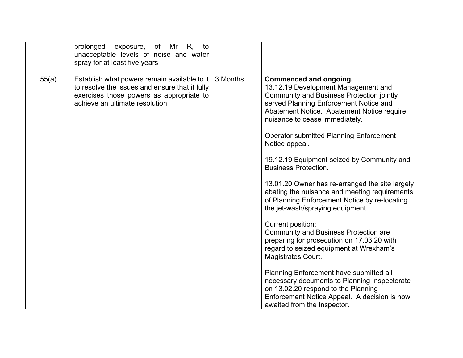| prolonged<br>exposure, of Mr R, to<br>unacceptable levels of noise and water<br>spray for at least five years                                                                         |          |                                                                                                                                                                                                                                                                                                                                                                                                                                                                                                                                                                                                                                                                                                                                                                                                                                                                                                                                                                                            |
|---------------------------------------------------------------------------------------------------------------------------------------------------------------------------------------|----------|--------------------------------------------------------------------------------------------------------------------------------------------------------------------------------------------------------------------------------------------------------------------------------------------------------------------------------------------------------------------------------------------------------------------------------------------------------------------------------------------------------------------------------------------------------------------------------------------------------------------------------------------------------------------------------------------------------------------------------------------------------------------------------------------------------------------------------------------------------------------------------------------------------------------------------------------------------------------------------------------|
| 55(a)<br>Establish what powers remain available to it<br>to resolve the issues and ensure that it fully<br>exercises those powers as appropriate to<br>achieve an ultimate resolution | 3 Months | Commenced and ongoing.<br>13.12.19 Development Management and<br><b>Community and Business Protection jointly</b><br>served Planning Enforcement Notice and<br>Abatement Notice. Abatement Notice require<br>nuisance to cease immediately.<br><b>Operator submitted Planning Enforcement</b><br>Notice appeal.<br>19.12.19 Equipment seized by Community and<br><b>Business Protection.</b><br>13.01.20 Owner has re-arranged the site largely<br>abating the nuisance and meeting requirements<br>of Planning Enforcement Notice by re-locating<br>the jet-wash/spraying equipment.<br>Current position:<br>Community and Business Protection are<br>preparing for prosecution on 17.03.20 with<br>regard to seized equipment at Wrexham's<br><b>Magistrates Court.</b><br>Planning Enforcement have submitted all<br>necessary documents to Planning Inspectorate<br>on 13.02.20 respond to the Planning<br>Enforcement Notice Appeal. A decision is now<br>awaited from the Inspector. |